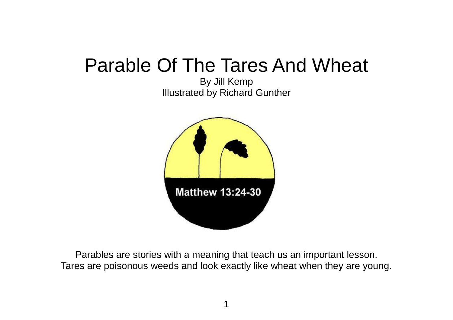## Parable Of The Tares And Wheat

By Jill Kemp Illustrated by Richard Gunther



Parables are stories with a meaning that teach us an important lesson. Tares are poisonous weeds and look exactly like wheat when they are young.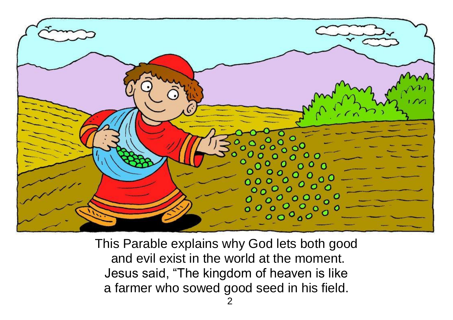

This Parable explains why God lets both good and evil exist in the world at the moment. Jesus said, "The kingdom of heaven is like a farmer who sowed good seed in his field.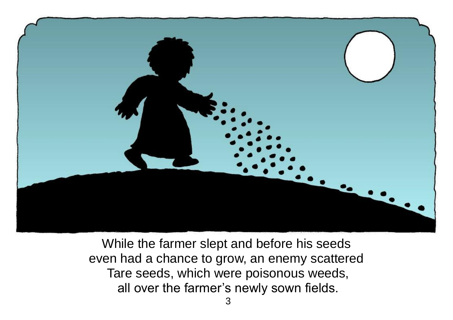

While the farmer slept and before his seeds even had a chance to grow, an enemy scattered Tare seeds, which were poisonous weeds, all over the farmer's newly sown fields.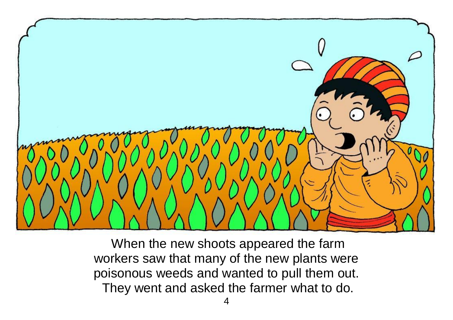

When the new shoots appeared the farm workers saw that many of the new plants were poisonous weeds and wanted to pull them out. They went and asked the farmer what to do.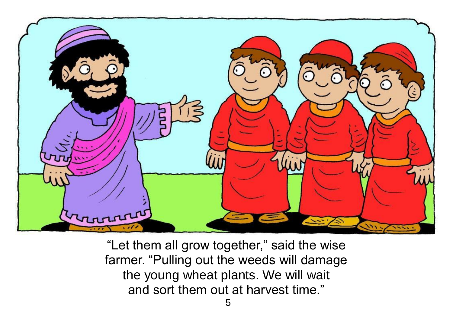

"Let them all grow together," said the wise farmer. "Pulling out the weeds will damage the young wheat plants. We will wait and sort them out at harvest time."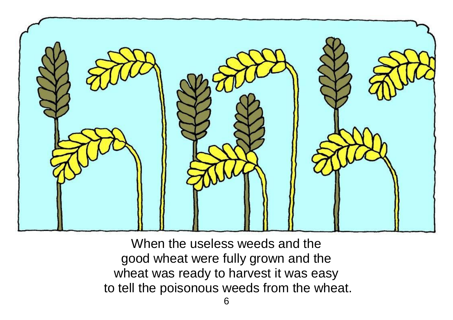

When the useless weeds and the good wheat were fully grown and the wheat was ready to harvest it was easy to tell the poisonous weeds from the wheat.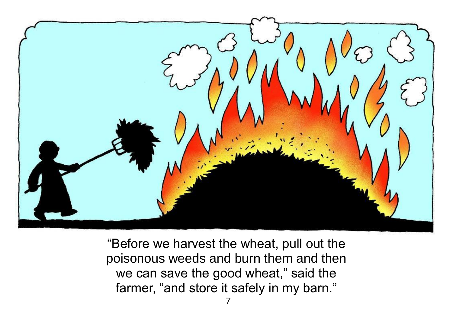

"Before we harvest the wheat, pull out the poisonous weeds and burn them and then we can save the good wheat," said the farmer, "and store it safely in my barn."